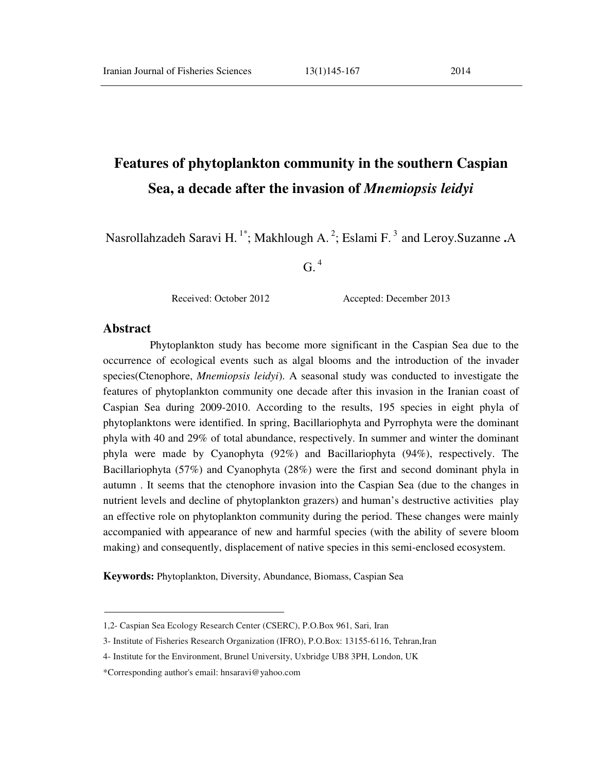# **Features of phytoplankton community in the southern Caspian Sea, a decade after the invasion of** *Mnemiopsis leidyi*

Nasrollahzadeh Saravi H.<sup>1\*</sup>; Makhlough A.<sup>2</sup>; Eslami F.<sup>3</sup> and Leroy.Suzanne .A

 $G.$ <sup>4</sup>

Received: October 2012 Accepted: December 2013

### **Abstract**

 Phytoplankton study has become more significant in the Caspian Sea due to the occurrence of ecological events such as algal blooms and the introduction of the invader species(Ctenophore, *Mnemiopsis leidyi*). A seasonal study was conducted to investigate the features of phytoplankton community one decade after this invasion in the Iranian coast of Caspian Sea during 2009-2010. According to the results, 195 species in eight phyla of phytoplanktons were identified. In spring, Bacillariophyta and Pyrrophyta were the dominant phyla with 40 and 29% of total abundance, respectively. In summer and winter the dominant phyla were made by Cyanophyta (92%) and Bacillariophyta (94%), respectively. The Bacillariophyta (57%) and Cyanophyta (28%) were the first and second dominant phyla in autumn . It seems that the ctenophore invasion into the Caspian Sea (due to the changes in nutrient levels and decline of phytoplankton grazers) and human's destructive activities play an effective role on phytoplankton community during the period. These changes were mainly accompanied with appearance of new and harmful species (with the ability of severe bloom making) and consequently, displacement of native species in this semi-enclosed ecosystem.

**Keywords:** Phytoplankton, Diversity, Abundance, Biomass, Caspian Sea

<sup>1,2-</sup> Caspian Sea Ecology Research Center (CSERC), P.O.Box 961, Sari, Iran

<sup>3-</sup> Institute of Fisheries Research Organization (IFRO), P.O.Box: 13155-6116, Tehran,Iran

<sup>4-</sup> Institute for the Environment, Brunel University, Uxbridge UB8 3PH, London, UK

<sup>\*</sup>Corresponding author's email: hnsaravi@yahoo.com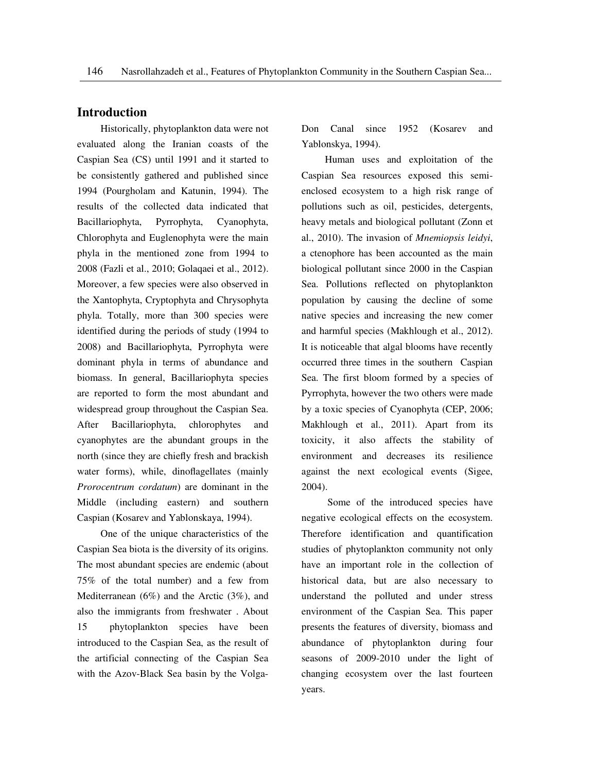### **Introduction**

 Historically, phytoplankton data were not evaluated along the Iranian coasts of the Caspian Sea (CS) until 1991 and it started to be consistently gathered and published since 1994 (Pourgholam and Katunin, 1994). The results of the collected data indicated that Bacillariophyta, Pyrrophyta, Cyanophyta, Chlorophyta and Euglenophyta were the main phyla in the mentioned zone from 1994 to 2008 (Fazli et al., 2010; Golaqaei et al., 2012). Moreover, a few species were also observed in the Xantophyta, Cryptophyta and Chrysophyta phyla. Totally, more than 300 species were identified during the periods of study (1994 to 2008) and Bacillariophyta, Pyrrophyta were dominant phyla in terms of abundance and biomass. In general, Bacillariophyta species are reported to form the most abundant and widespread group throughout the Caspian Sea. After Bacillariophyta, chlorophytes and cyanophytes are the abundant groups in the north (since they are chiefly fresh and brackish water forms), while, dinoflagellates (mainly *Prorocentrum cordatum*) are dominant in the Middle (including eastern) and southern Caspian (Kosarev and Yablonskaya, 1994).

 One of the unique characteristics of the Caspian Sea biota is the diversity of its origins. The most abundant species are endemic (about 75% of the total number) and a few from Mediterranean (6%) and the Arctic (3%), and also the immigrants from freshwater . About 15 phytoplankton species have been introduced to the Caspian Sea, as the result of the artificial connecting of the Caspian Sea with the Azov-Black Sea basin by the VolgaDon Canal since 1952 (Kosarev and Yablonskya, 1994).

 Human uses and exploitation of the Caspian Sea resources exposed this semienclosed ecosystem to a high risk range of pollutions such as oil, pesticides, detergents, heavy metals and biological pollutant (Zonn et al., 2010). The invasion of *Mnemiopsis leidyi*, a ctenophore has been accounted as the main biological pollutant since 2000 in the Caspian Sea. Pollutions reflected on phytoplankton population by causing the decline of some native species and increasing the new comer and harmful species (Makhlough et al., 2012). It is noticeable that algal blooms have recently occurred three times in the southern Caspian Sea. The first bloom formed by a species of Pyrrophyta, however the two others were made by a toxic species of Cyanophyta (CEP, 2006; Makhlough et al., 2011). Apart from its toxicity, it also affects the stability of environment and decreases its resilience against the next ecological events (Sigee, 2004).

 Some of the introduced species have negative ecological effects on the ecosystem. Therefore identification and quantification studies of phytoplankton community not only have an important role in the collection of historical data, but are also necessary to understand the polluted and under stress environment of the Caspian Sea. This paper presents the features of diversity, biomass and abundance of phytoplankton during four seasons of 2009-2010 under the light of changing ecosystem over the last fourteen years.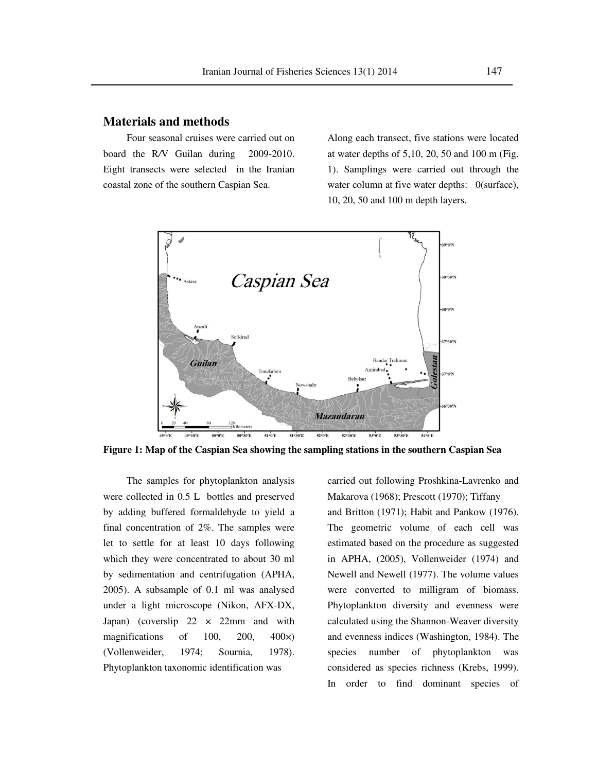#### **Materials and methods**

 Four seasonal cruises were carried out on board the R*/*V Guilan during 2009-2010. Eight transects were selected in the Iranian coastal zone of the southern Caspian Sea.

Along each transect, five stations were located at water depths of 5,10, 20, 50 and 100 m (Fig. 1). Samplings were carried out through the water column at five water depths:  $0$ (surface), 10, 20, 50 and 100 m depth layers.



**Figure 1: Map of the Caspian Sea showing the sampling stations in the southern Caspian Sea** 

 The samples for phytoplankton analysis were collected in 0.5 L bottles and preserved by adding buffered formaldehyde to yield a final concentration of 2%. The samples were let to settle for at least 10 days following which they were concentrated to about 30 ml by sedimentation and centrifugation (APHA, 2005). A subsample of 0.1 ml was analysed under a light microscope (Nikon, AFX-DX, Japan) (coverslip  $22 \times 22$ mm and with magnifications of 100, 200, 400×) (Vollenweider, 1974; Sournia, 1978). Phytoplankton taxonomic identification was

carried out following Proshkina-Lavrenko and Makarova (1968); Prescott (1970); Tiffany and Britton (1971); Habit and Pankow (1976). The geometric volume of each cell was estimated based on the procedure as suggested in APHA, (2005), Vollenweider (1974) and Newell and Newell (1977). The volume values were converted to milligram of biomass. Phytoplankton diversity and evenness were calculated using the Shannon-Weaver diversity and evenness indices (Washington, 1984). The species number of phytoplankton was considered as species richness (Krebs, 1999). In order to find dominant species of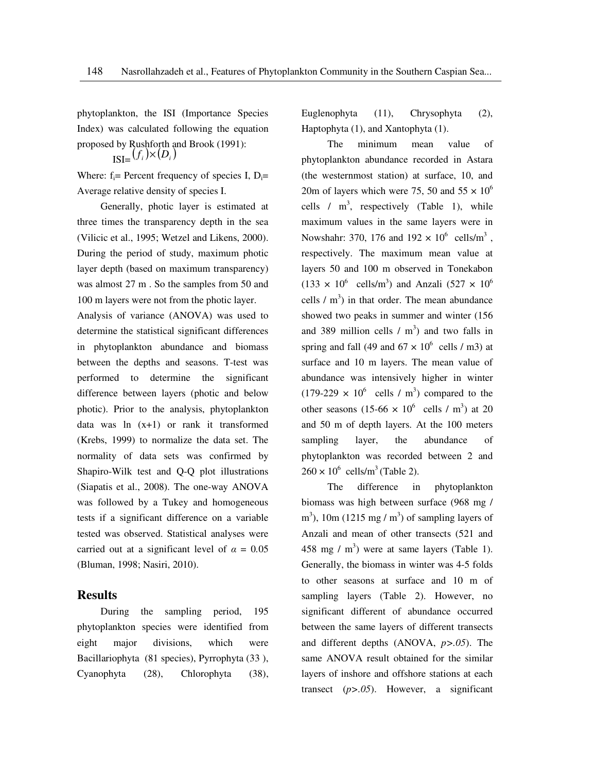phytoplankton, the ISI (Importance Species Index) was calculated following the equation proposed by Rushforth and Brook (1991):  $\prod_{i=1}^{n} (f_i) \times (D_i)$ 

Where:  $f_i$ = Percent frequency of species I, D<sub>i</sub>= Average relative density of species I.

Generally, photic layer is estimated at three times the transparency depth in the sea (Vilicic et al., 1995; Wetzel and Likens, 2000). During the period of study, maximum photic layer depth (based on maximum transparency) was almost 27 m . So the samples from 50 and 100 m layers were not from the photic layer.

Analysis of variance (ANOVA) was used to determine the statistical significant differences in phytoplankton abundance and biomass between the depths and seasons. T-test was performed to determine the significant difference between layers (photic and below photic). Prior to the analysis, phytoplankton data was  $\ln(x+1)$  or rank it transformed (Krebs, 1999) to normalize the data set. The normality of data sets was confirmed by Shapiro-Wilk test and Q-Q plot illustrations (Siapatis et al., 2008). The one-way ANOVA was followed by a Tukey and homogeneous tests if a significant difference on a variable tested was observed. Statistical analyses were carried out at a significant level of  $\alpha = 0.05$ (Bluman, 1998; Nasiri, 2010).

### **Results**

 During the sampling period, 195 phytoplankton species were identified from eight major divisions, which were Bacillariophyta (81 species), Pyrrophyta (33 ), Cyanophyta (28), Chlorophyta (38), Euglenophyta (11), Chrysophyta (2), Haptophyta (1), and Xantophyta (1).

 The minimum mean value of phytoplankton abundance recorded in Astara (the westernmost station) at surface, 10, and 20m of layers which were 75, 50 and  $55 \times 10^6$ cells  $/m^3$ , respectively (Table 1), while maximum values in the same layers were in Nowshahr: 370, 176 and  $192 \times 10^6$  cells/m<sup>3</sup>, respectively. The maximum mean value at layers 50 and 100 m observed in Tonekabon  $(133 \times 10^6 \text{ cells/m}^3)$  and Anzali  $(527 \times 10^6 \text{ cm}^3)$ cells  $/m<sup>3</sup>$ ) in that order. The mean abundance showed two peaks in summer and winter (156 and 389 million cells  $/m<sup>3</sup>$  and two falls in spring and fall (49 and  $67 \times 10^6$  cells / m3) at surface and 10 m layers. The mean value of abundance was intensively higher in winter  $(179-229 \times 10^6 \text{ cells} / \text{m}^3)$  compared to the other seasons  $(15{\text -}66 \times 10^6 \text{ cells} / \text{m}^3)$  at 20 and 50 m of depth layers. At the 100 meters sampling layer, the abundance of phytoplankton was recorded between 2 and  $260 \times 10^6$  cells/m<sup>3</sup> (Table 2).

 The difference in phytoplankton biomass was high between surface (968 mg /  $\text{m}^3$ ), 10m (1215 mg / m<sup>3</sup>) of sampling layers of Anzali and mean of other transects (521 and 458 mg /  $m<sup>3</sup>$ ) were at same layers (Table 1). Generally, the biomass in winter was 4-5 folds to other seasons at surface and 10 m of sampling layers (Table 2). However, no significant different of abundance occurred between the same layers of different transects and different depths (ANOVA, *p>.05*). The same ANOVA result obtained for the similar layers of inshore and offshore stations at each transect (*p>.05*). However, a significant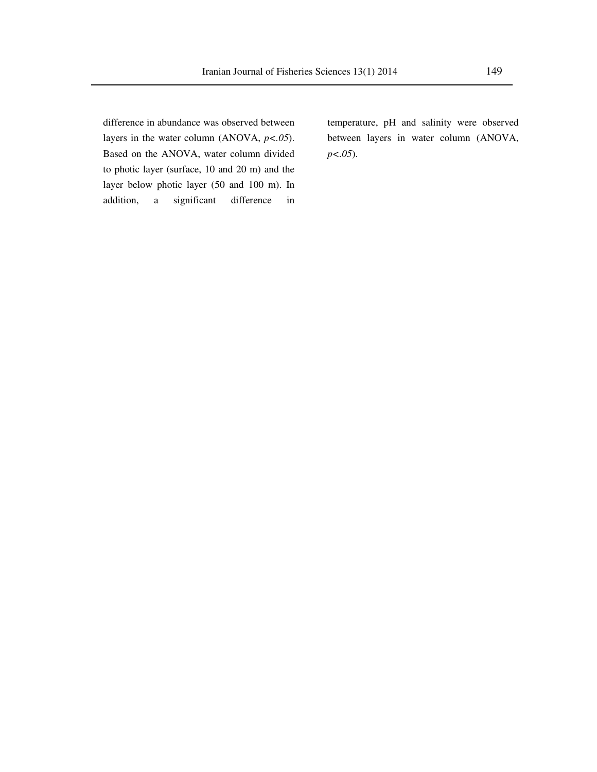difference in abundance was observed between layers in the water column (ANOVA, *p<.05*). Based on the ANOVA, water column divided to photic layer (surface, 10 and 20 m) and the layer below photic layer (50 and 100 m). In addition, a significant difference in

temperature, pH and salinity were observed between layers in water column (ANOVA, *p<.05*).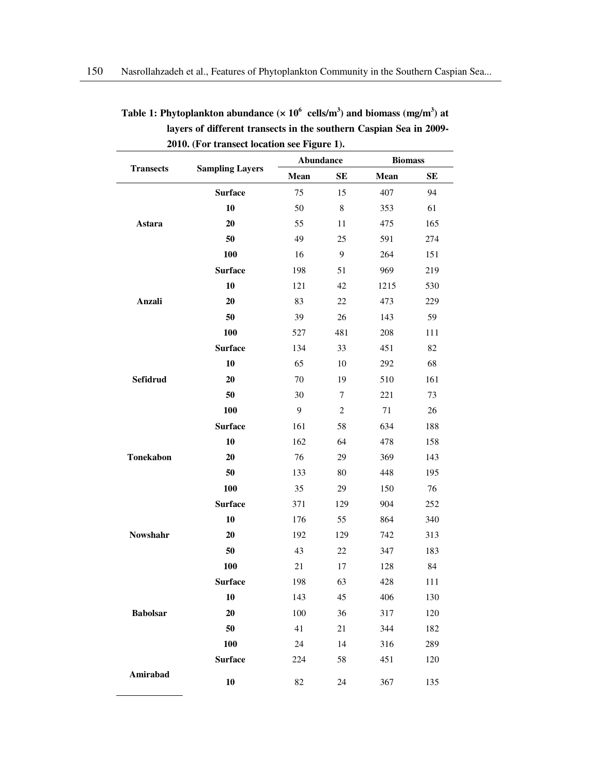|                  |                        | Abundance |                | <b>Biomass</b> |     |
|------------------|------------------------|-----------|----------------|----------------|-----|
| <b>Transects</b> | <b>Sampling Layers</b> | Mean      | <b>SE</b>      | Mean           | SE  |
|                  | <b>Surface</b>         | 75        | 15             | 407            | 94  |
|                  | 10                     | 50        | $\,8$          | 353            | 61  |
| Astara           | 20                     | 55        | 11             | 475            | 165 |
|                  | 50                     | 49        | 25             | 591            | 274 |
|                  | <b>100</b>             | 16        | 9              | 264            | 151 |
|                  | <b>Surface</b>         | 198       | 51             | 969            | 219 |
|                  | 10                     | 121       | 42             | 1215           | 530 |
| Anzali           | 20                     | 83        | 22             | 473            | 229 |
|                  | 50                     | 39        | 26             | 143            | 59  |
|                  | 100                    | 527       | 481            | 208            | 111 |
|                  | <b>Surface</b>         | 134       | 33             | 451            | 82  |
|                  | 10                     | 65        | 10             | 292            | 68  |
| Sefidrud         | 20                     | $70\,$    | 19             | 510            | 161 |
|                  | 50                     | 30        | $\tau$         | 221            | 73  |
|                  | 100                    | 9         | $\overline{2}$ | 71             | 26  |
|                  | <b>Surface</b>         | 161       | 58             | 634            | 188 |
|                  | 10                     | 162       | 64             | 478            | 158 |
| <b>Tonekabon</b> | 20                     | 76        | 29             | 369            | 143 |
|                  | 50                     | 133       | 80             | 448            | 195 |
|                  | 100                    | 35        | 29             | 150            | 76  |
|                  | <b>Surface</b>         | 371       | 129            | 904            | 252 |
|                  | 10                     | 176       | 55             | 864            | 340 |
| Nowshahr         | 20                     | 192       | 129            | 742            | 313 |
|                  | 50                     | 43        | 22             | 347            | 183 |
|                  | 100                    | 21        | 17             | 128            | 84  |
|                  | <b>Surface</b>         | 198       | 63             | 428            | 111 |
|                  | 10                     | 143       | 45             | 406            | 130 |
| <b>Babolsar</b>  | $20\,$                 | 100       | 36             | 317            | 120 |
|                  | 50                     | 41        | 21             | 344            | 182 |
|                  | 100                    | 24        | 14             | 316            | 289 |
|                  | <b>Surface</b>         | 224       | 58             | 451            | 120 |
| Amirabad         | 10                     | 82        | $24\,$         | 367            | 135 |

Table 1: Phytoplankton abundance ( $\times$  10<sup>6</sup> cells/m<sup>3</sup>) and biomass (mg/m<sup>3</sup>) at **layers of different transects in the southern Caspian Sea in 2009- 2010. (For transect location see Figure 1).**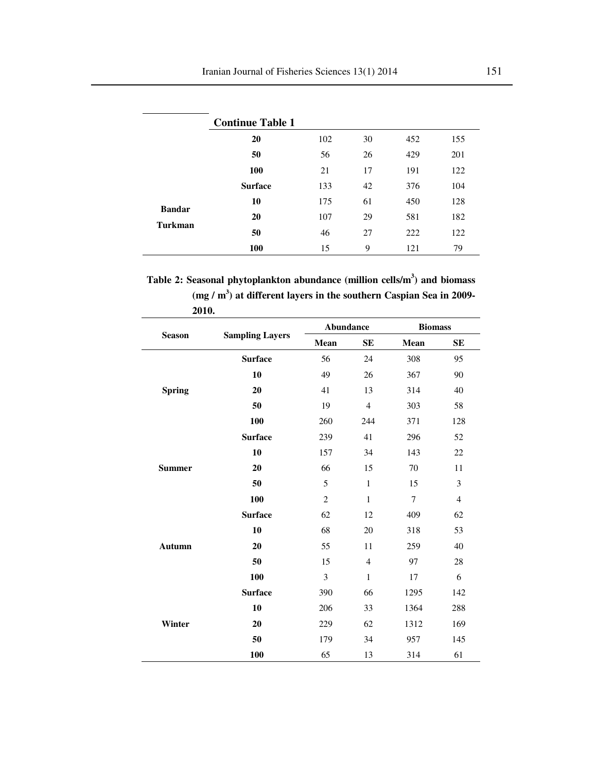|                | <b>Continue Table 1</b> |     |    |     |     |
|----------------|-------------------------|-----|----|-----|-----|
|                | 20                      | 102 | 30 | 452 | 155 |
|                | 50                      | 56  | 26 | 429 | 201 |
|                | 100                     | 21  | 17 | 191 | 122 |
|                | <b>Surface</b>          | 133 | 42 | 376 | 104 |
| <b>Bandar</b>  | 10                      | 175 | 61 | 450 | 128 |
| <b>Turkman</b> | 20                      | 107 | 29 | 581 | 182 |
|                | 50                      | 46  | 27 | 222 | 122 |
|                | 100                     | 15  | 9  | 121 | 79  |

**Table 2: Seasonal phytoplankton abundance (million cells/m<sup>3</sup> ) and biomass (mg / m<sup>3</sup> ) at different layers in the southern Caspian Sea in 2009- 2010.** 

| 2010.         |                        | <b>Abundance</b> |                | <b>Biomass</b> |                |  |
|---------------|------------------------|------------------|----------------|----------------|----------------|--|
| <b>Season</b> | <b>Sampling Layers</b> | Mean             | <b>SE</b>      | Mean           | <b>SE</b>      |  |
|               | <b>Surface</b>         | 56               | 24             | 308            | 95             |  |
|               | 10                     | 49               | 26             | 367            | 90             |  |
| <b>Spring</b> | 20                     | 41               | 13             | 314            | 40             |  |
|               | 50                     | 19               | $\overline{4}$ | 303            | 58             |  |
|               | 100                    | 260              | 244            | 371            | 128            |  |
|               | <b>Surface</b>         | 239              | 41             | 296            | 52             |  |
|               | 10                     | 157              | 34             | 143            | 22             |  |
| <b>Summer</b> | 20                     | 66               | 15             | 70             | 11             |  |
|               | 50                     | 5                | $\mathbf{1}$   | 15             | 3              |  |
|               | 100                    | $\overline{c}$   | $\mathbf{1}$   | $\overline{7}$ | $\overline{4}$ |  |
|               | <b>Surface</b>         | 62               | 12             | 409            | 62             |  |
|               | 10                     | 68               | 20             | 318            | 53             |  |
| <b>Autumn</b> | 20                     | 55               | 11             | 259            | 40             |  |
|               | 50                     | 15               | $\overline{4}$ | 97             | 28             |  |
|               | 100                    | $\overline{3}$   | $\mathbf{1}$   | 17             | 6              |  |
|               | <b>Surface</b>         | 390              | 66             | 1295           | 142            |  |
|               | 10                     | 206              | 33             | 1364           | 288            |  |
| Winter        | 20                     | 229              | 62             | 1312           | 169            |  |
|               | 50                     | 179              | 34             | 957            | 145            |  |
|               | 100                    | 65               | 13             | 314            | 61             |  |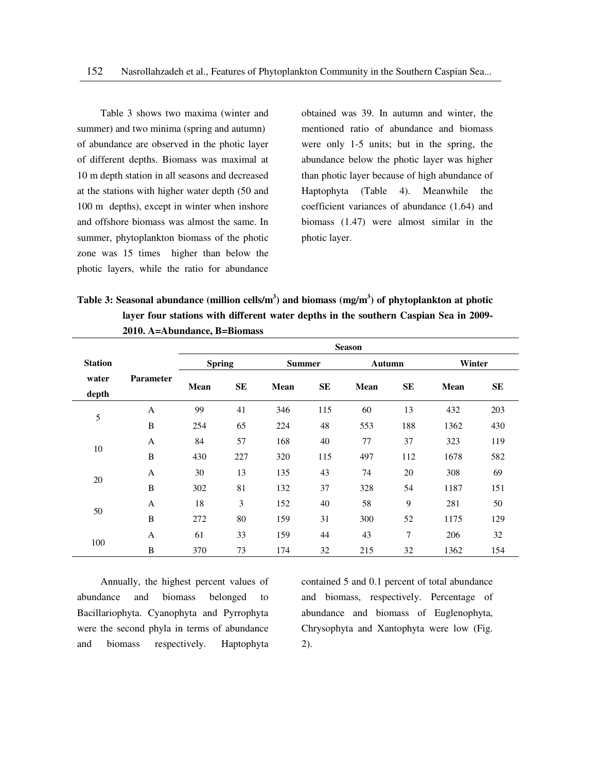Table 3 shows two maxima (winter and summer) and two minima (spring and autumn) of abundance are observed in the photic layer of different depths. Biomass was maximal at 10 m depth station in all seasons and decreased at the stations with higher water depth (50 and 100 m depths), except in winter when inshore and offshore biomass was almost the same. In summer, phytoplankton biomass of the photic zone was 15 times higher than below the photic layers, while the ratio for abundance

obtained was 39. In autumn and winter, the mentioned ratio of abundance and biomass were only 1-5 units; but in the spring, the abundance below the photic layer was higher than photic layer because of high abundance of Haptophyta (Table 4). Meanwhile the coefficient variances of abundance (1.64) and biomass (1.47) were almost similar in the photic layer.

**Table 3: Seasonal abundance (million cells/m<sup>3</sup> ) and biomass (mg/m<sup>3</sup> ) of phytoplankton at photic layer four stations with different water depths in the southern Caspian Sea in 2009- 2010. A=Abundance, B=Biomass** 

|                |                  | <b>Season</b> |           |               |     |             |     |             |     |  |
|----------------|------------------|---------------|-----------|---------------|-----|-------------|-----|-------------|-----|--|
| <b>Station</b> |                  | <b>Spring</b> |           | <b>Summer</b> |     | Autumn      |     | Winter      |     |  |
| water<br>depth | <b>Parameter</b> | <b>Mean</b>   | <b>SE</b> | Mean          | SE  | <b>Mean</b> | SE  | <b>Mean</b> | SE  |  |
|                | A                | 99            | 41        | 346           | 115 | 60          | 13  | 432         | 203 |  |
| 5              | B                | 254           | 65        | 224           | 48  | 553         | 188 | 1362        | 430 |  |
|                | A                | 84            | 57        | 168           | 40  | 77          | 37  | 323         | 119 |  |
| 10             | B                | 430           | 227       | 320           | 115 | 497         | 112 | 1678        | 582 |  |
| 20             | $\mathbf{A}$     | 30            | 13        | 135           | 43  | 74          | 20  | 308         | 69  |  |
|                | B                | 302           | 81        | 132           | 37  | 328         | 54  | 1187        | 151 |  |
| 50             | A                | 18            | 3         | 152           | 40  | 58          | 9   | 281         | 50  |  |
|                | $\, {\bf B}$     | 272           | 80        | 159           | 31  | 300         | 52  | 1175        | 129 |  |
|                | A                | 61            | 33        | 159           | 44  | 43          | 7   | 206         | 32  |  |
| 100            | B                | 370           | 73        | 174           | 32  | 215         | 32  | 1362        | 154 |  |

Annually, the highest percent values of abundance and biomass belonged to Bacillariophyta. Cyanophyta and Pyrrophyta were the second phyla in terms of abundance and biomass respectively. Haptophyta contained 5 and 0.1 percent of total abundance and biomass, respectively. Percentage of abundance and biomass of Euglenophyta, Chrysophyta and Xantophyta were low (Fig. 2).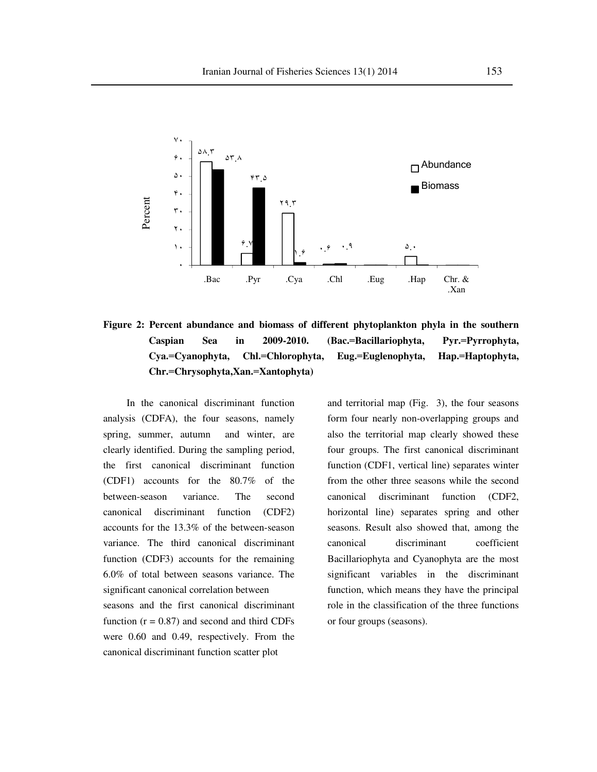

**Figure 2: Percent abundance and biomass of different phytoplankton phyla in the southern Caspian Sea in 2009-2010. (Bac.**=**Bacillariophyta, Pyr.**=**Pyrrophyta, Cya.**=**Cyanophyta, Chl.**=**Chlorophyta, Eug.**=**Euglenophyta, Hap.**=**Haptophyta, Chr.**=**Chrysophyta,Xan.**=**Xantophyta)**

In the canonical discriminant function analysis (CDFA), the four seasons, namely spring, summer, autumn and winter, are clearly identified. During the sampling period, the first canonical discriminant function (CDF1) accounts for the 80.7% of the between-season variance. The second canonical discriminant function (CDF2) accounts for the 13.3% of the between-season variance. The third canonical discriminant function (CDF3) accounts for the remaining 6.0% of total between seasons variance. The significant canonical correlation between seasons and the first canonical discriminant function  $(r = 0.87)$  and second and third CDFs were 0.60 and 0.49, respectively. From the canonical discriminant function scatter plot

and territorial map (Fig. 3), the four seasons form four nearly non-overlapping groups and also the territorial map clearly showed these four groups. The first canonical discriminant function (CDF1, vertical line) separates winter from the other three seasons while the second canonical discriminant function (CDF2, horizontal line) separates spring and other seasons. Result also showed that, among the canonical discriminant coefficient Bacillariophyta and Cyanophyta are the most significant variables in the discriminant function, which means they have the principal role in the classification of the three functions or four groups (seasons).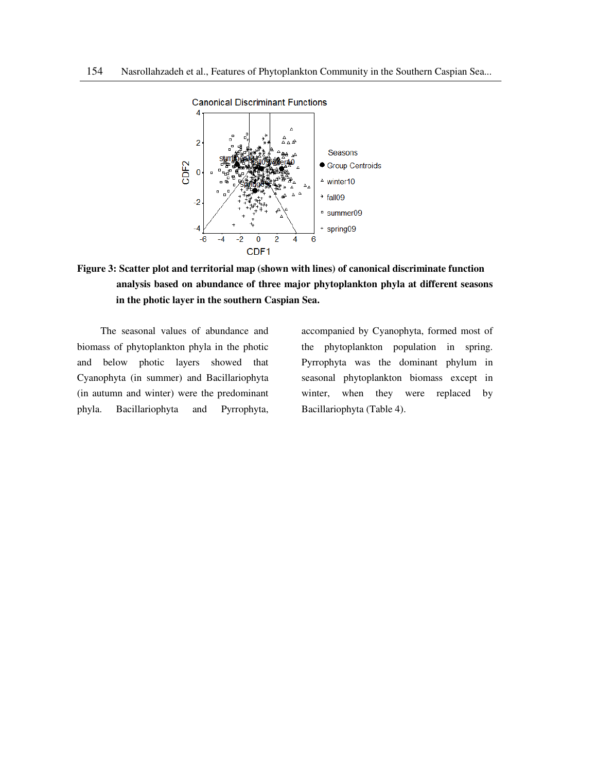

# **Figure 3: Scatter plot and territorial map (shown with lines) of canonical discriminate function analysis based on abundance of three major phytoplankton phyla at different seasons in the photic layer in the southern Caspian Sea.**

The seasonal values of abundance and biomass of phytoplankton phyla in the photic and below photic layers showed that Cyanophyta (in summer) and Bacillariophyta (in autumn and winter) were the predominant phyla. Bacillariophyta and Pyrrophyta,

accompanied by Cyanophyta, formed most of the phytoplankton population in spring. Pyrrophyta was the dominant phylum in seasonal phytoplankton biomass except in winter, when they were replaced by Bacillariophyta (Table 4).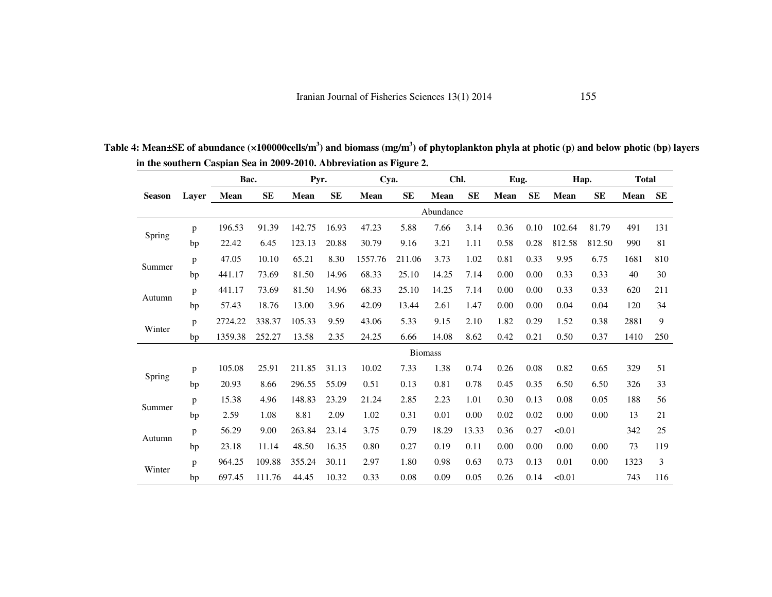|               |       | Bac.    |           | Pyr.   |           | Cya.    |                | Chl.        |           | Eug. |           | Hap.        |           | <b>Total</b> |     |
|---------------|-------|---------|-----------|--------|-----------|---------|----------------|-------------|-----------|------|-----------|-------------|-----------|--------------|-----|
| <b>Season</b> | Layer | Mean    | <b>SE</b> | Mean   | <b>SE</b> | Mean    | SE             | <b>Mean</b> | <b>SE</b> | Mean | <b>SE</b> | <b>Mean</b> | <b>SE</b> | <b>Mean</b>  | SE  |
|               |       |         |           |        |           |         |                | Abundance   |           |      |           |             |           |              |     |
|               | p     | 196.53  | 91.39     | 142.75 | 16.93     | 47.23   | 5.88           | 7.66        | 3.14      | 0.36 | 0.10      | 102.64      | 81.79     | 491          | 131 |
| Spring        | bp    | 22.42   | 6.45      | 123.13 | 20.88     | 30.79   | 9.16           | 3.21        | 1.11      | 0.58 | 0.28      | 812.58      | 812.50    | 990          | 81  |
|               | p     | 47.05   | 10.10     | 65.21  | 8.30      | 1557.76 | 211.06         | 3.73        | 1.02      | 0.81 | 0.33      | 9.95        | 6.75      | 1681         | 810 |
| Summer        | bp    | 441.17  | 73.69     | 81.50  | 14.96     | 68.33   | 25.10          | 14.25       | 7.14      | 0.00 | 0.00      | 0.33        | 0.33      | 40           | 30  |
|               | p     | 441.17  | 73.69     | 81.50  | 14.96     | 68.33   | 25.10          | 14.25       | 7.14      | 0.00 | 0.00      | 0.33        | 0.33      | 620          | 211 |
| Autumn        | bp    | 57.43   | 18.76     | 13.00  | 3.96      | 42.09   | 13.44          | 2.61        | 1.47      | 0.00 | 0.00      | 0.04        | 0.04      | 120          | 34  |
|               | p     | 2724.22 | 338.37    | 105.33 | 9.59      | 43.06   | 5.33           | 9.15        | 2.10      | 1.82 | 0.29      | 1.52        | 0.38      | 2881         | 9   |
| Winter        | bp    | 1359.38 | 252.27    | 13.58  | 2.35      | 24.25   | 6.66           | 14.08       | 8.62      | 0.42 | 0.21      | 0.50        | 0.37      | 1410         | 250 |
|               |       |         |           |        |           |         | <b>Biomass</b> |             |           |      |           |             |           |              |     |
|               | p     | 105.08  | 25.91     | 211.85 | 31.13     | 10.02   | 7.33           | 1.38        | 0.74      | 0.26 | 0.08      | 0.82        | 0.65      | 329          | 51  |
| Spring        | bp    | 20.93   | 8.66      | 296.55 | 55.09     | 0.51    | 0.13           | 0.81        | 0.78      | 0.45 | 0.35      | 6.50        | 6.50      | 326          | 33  |
|               | p     | 15.38   | 4.96      | 148.83 | 23.29     | 21.24   | 2.85           | 2.23        | 1.01      | 0.30 | 0.13      | 0.08        | 0.05      | 188          | 56  |
| Summer        | bp    | 2.59    | 1.08      | 8.81   | 2.09      | 1.02    | 0.31           | 0.01        | 0.00      | 0.02 | 0.02      | 0.00        | 0.00      | 13           | 21  |
|               | p     | 56.29   | 9.00      | 263.84 | 23.14     | 3.75    | 0.79           | 18.29       | 13.33     | 0.36 | 0.27      | < 0.01      |           | 342          | 25  |
| Autumn        | bp    | 23.18   | 11.14     | 48.50  | 16.35     | 0.80    | 0.27           | 0.19        | 0.11      | 0.00 | 0.00      | 0.00        | 0.00      | 73           | 119 |
|               | p     | 964.25  | 109.88    | 355.24 | 30.11     | 2.97    | 1.80           | 0.98        | 0.63      | 0.73 | 0.13      | 0.01        | 0.00      | 1323         | 3   |
| Winter        | bp    | 697.45  | 111.76    | 44.45  | 10.32     | 0.33    | 0.08           | 0.09        | 0.05      | 0.26 | 0.14      | < 0.01      |           | 743          | 116 |

**Table 4: Mean±SE of abundance (×100000cells/m<sup>3</sup>) and biomass (mg/m<sup>3</sup>) of phytoplankton phyla at photic (p) and below photic (bp) layers in the southern Caspian Sea in 2009-2010. Abbreviation as Figure 2.**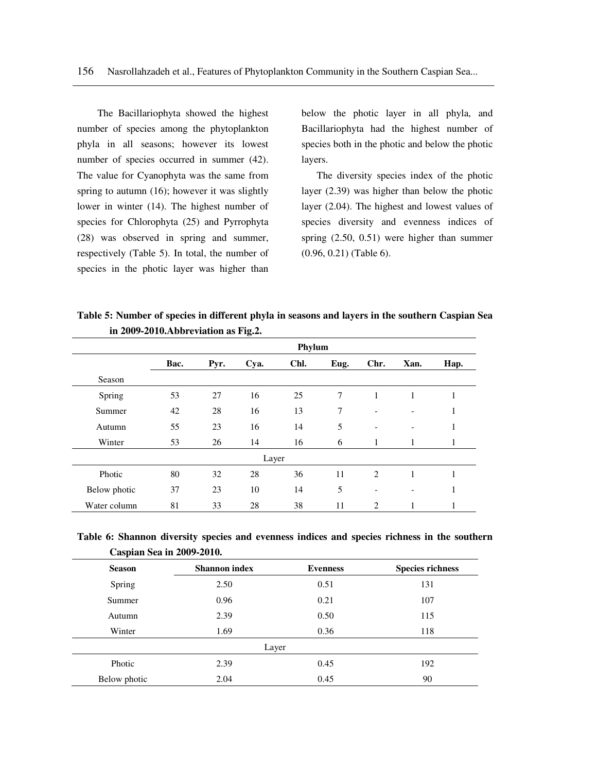The Bacillariophyta showed the highest number of species among the phytoplankton phyla in all seasons; however its lowest number of species occurred in summer (42). The value for Cyanophyta was the same from spring to autumn (16); however it was slightly lower in winter (14). The highest number of species for Chlorophyta (25) and Pyrrophyta (28) was observed in spring and summer, respectively (Table 5). In total, the number of species in the photic layer was higher than

below the photic layer in all phyla, and Bacillariophyta had the highest number of species both in the photic and below the photic layers.

 The diversity species index of the photic layer (2.39) was higher than below the photic layer (2.04). The highest and lowest values of species diversity and evenness indices of spring (2.50, 0.51) were higher than summer (0.96, 0.21) (Table 6).

**Table 5: Number of species in different phyla in seasons and layers in the southern Caspian Sea in 2009-2010.Abbreviation as Fig.2.** 

|              |      |      |       | Phylum |      |                              |                              |      |
|--------------|------|------|-------|--------|------|------------------------------|------------------------------|------|
|              | Bac. | Pyr. | Cya.  | Chl.   | Eug. | Chr.                         | Xan.                         | Hap. |
| Season       |      |      |       |        |      |                              |                              |      |
| Spring       | 53   | 27   | 16    | 25     | 7    | 1                            | 1                            | 1    |
| Summer       | 42   | 28   | 16    | 13     | 7    |                              | -                            | 1    |
| Autumn       | 55   | 23   | 16    | 14     | 5    | $\qquad \qquad \blacksquare$ | $\qquad \qquad \blacksquare$ | 1    |
| Winter       | 53   | 26   | 14    | 16     | 6    | 1                            |                              | 1    |
|              |      |      | Layer |        |      |                              |                              |      |
| Photic       | 80   | 32   | 28    | 36     | 11   | 2                            | 1                            | 1    |
| Below photic | 37   | 23   | 10    | 14     | 5    | $\qquad \qquad \blacksquare$ | $\qquad \qquad \blacksquare$ | 1    |
| Water column | 81   | 33   | 28    | 38     | 11   | 2                            | 1                            | 1    |

**Table 6: Shannon diversity species and evenness indices and species richness in the southern Caspian Sea in 2009-2010.** 

| <b>Season</b> | <b>Shannon</b> index | <b>Evenness</b> | <b>Species richness</b> |
|---------------|----------------------|-----------------|-------------------------|
| Spring        | 2.50                 | 0.51            | 131                     |
| Summer        | 0.96                 | 0.21            | 107                     |
| Autumn        | 2.39                 | 0.50            | 115                     |
| Winter        | 1.69                 | 0.36            | 118                     |
|               | Layer                |                 |                         |
| Photic        | 2.39                 | 0.45            | 192                     |
| Below photic  | 2.04                 | 0.45            | 90                      |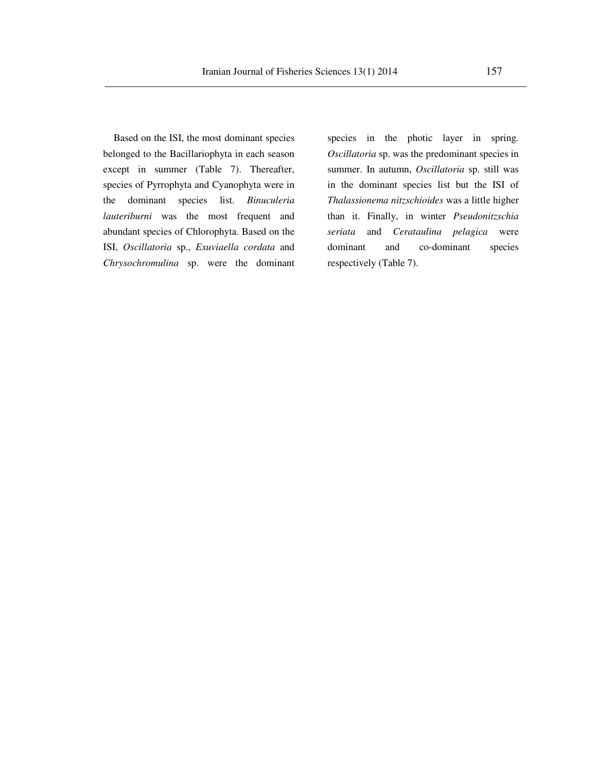Based on the ISI, the most dominant species belonged to the Bacillariophyta in each season except in summer (Table 7). Thereafter, species of Pyrrophyta and Cyanophyta were in the dominant species list. *Binuculeria lauteriburni* was the most frequent and abundant species of Chlorophyta. Based on the ISI, *Oscillatoria* sp., *Exuviaella cordata* and *Chrysochromulina* sp. were the dominant

species in the photic layer in spring. *Oscillatoria* sp. was the predominant species in summer. In autumn, *Oscillatoria* sp. still was in the dominant species list but the ISI of *Thalassionema nitzschioides* was a little higher than it. Finally, in winter *Pseudonitzschia seriata* and *Cerataulina pelagica* were dominant and co-dominant species respectively (Table 7).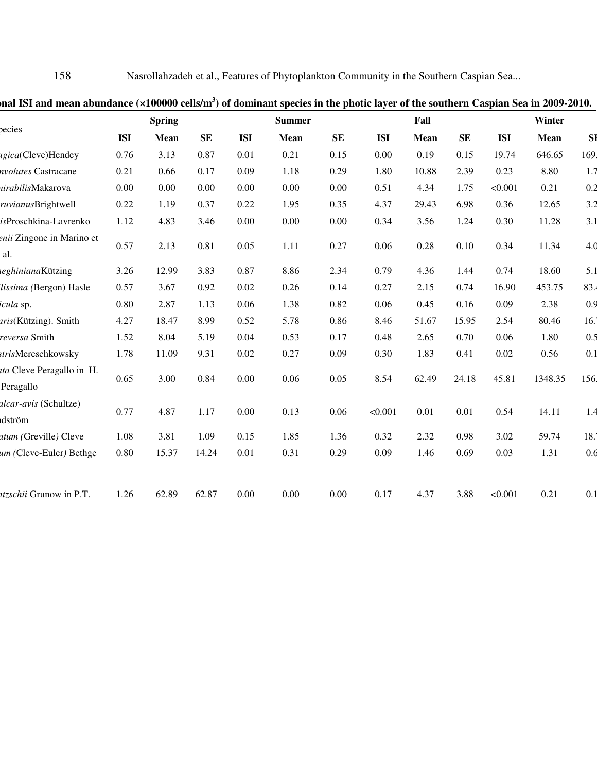158 Nasrollahzadeh et al., Features of Phytoplankton Community in the Southern Caspian Sea...

|                                                             |                           |           |            | <b>Summer</b> |           |            | Fall        |           |            | Winter      |           |
|-------------------------------------------------------------|---------------------------|-----------|------------|---------------|-----------|------------|-------------|-----------|------------|-------------|-----------|
| <b>ISI</b>                                                  | <b>Mean</b>               | <b>SE</b> | <b>ISI</b> | <b>Mean</b>   | <b>SE</b> | <b>ISI</b> | <b>Mean</b> | <b>SE</b> | <b>ISI</b> | <b>Mean</b> | <b>SI</b> |
| 0.76                                                        | 3.13                      | 0.87      | 0.01       | 0.21          | 0.15      | 0.00       | 0.19        | 0.15      | 19.74      | 646.65      | 169       |
| 0.21                                                        | 0.66                      | 0.17      | 0.09       | 1.18          | 0.29      | 1.80       | 10.88       | 2.39      | 0.23       | 8.80        | 1.7       |
| 0.00                                                        | 0.00                      | 0.00      | 0.00       | 0.00          | 0.00      | 0.51       | 4.34        | 1.75      | < 0.001    | 0.21        | 0.2       |
| 0.22                                                        | 1.19                      | 0.37      | 0.22       | 1.95          | 0.35      | 4.37       | 29.43       | 6.98      | 0.36       | 12.65       | 3.2       |
| 1.12                                                        | 4.83                      | 3.46      | 0.00       | 0.00          | 0.00      | 0.34       | 3.56        | 1.24      | 0.30       | 11.28       | 3.1       |
| 0.57                                                        | 2.13                      | 0.81      | 0.05       | 1.11          | 0.27      | 0.06       | 0.28        | 0.10      | 0.34       | 11.34       | 4.0       |
| 3.26                                                        | 12.99                     | 3.83      | 0.87       | 8.86          | 2.34      | 0.79       | 4.36        | 1.44      | 0.74       | 18.60       | 5.1       |
| 0.57                                                        | 3.67                      | 0.92      | 0.02       | 0.26          | 0.14      | 0.27       | 2.15        | 0.74      | 16.90      | 453.75      | 83.       |
| 0.80                                                        | 2.87                      | 1.13      | 0.06       | 1.38          | 0.82      | 0.06       | 0.45        | 0.16      | 0.09       | 2.38        | 0.9       |
| 4.27                                                        | 18.47                     | 8.99      | 0.52       | 5.78          | 0.86      | 8.46       | 51.67       | 15.95     | 2.54       | 80.46       | 16.7      |
| 1.52                                                        | 8.04                      | 5.19      | 0.04       | 0.53          | 0.17      | 0.48       | 2.65        | 0.70      | 0.06       | 1.80        | 0.5       |
| 1.78                                                        | 11.09                     | 9.31      | 0.02       | 0.27          | 0.09      | 0.30       | 1.83        | 0.41      | 0.02       | 0.56        | 0.1       |
| 0.65                                                        | 3.00                      | 0.84      | 0.00       | 0.06          | 0.05      | 8.54       | 62.49       | 24.18     | 45.81      | 1348.35     | 156       |
| 0.77                                                        | 4.87                      | 1.17      | 0.00       | 0.13          | 0.06      | < 0.001    | 0.01        | 0.01      | 0.54       | 14.11       | 1.4       |
| 1.08                                                        | 3.81                      | 1.09      | 0.15       | 1.85          | 1.36      | 0.32       | 2.32        | 0.98      | 3.02       | 59.74       | 18.2      |
| 0.80                                                        | 15.37                     | 14.24     | 0.01       | 0.31          | 0.29      | 0.09       | 1.46        | 0.69      | 0.03       | 1.31        | 0.6       |
| 1.26                                                        | 62.89                     | 62.87     | 0.00       | 0.00          | 0.00      | 0.17       | 4.37        | 3.88      | < 0.001    | 0.21        | 0.1       |
| <i>uta</i> Cleve Peragallo in H.<br>um (Cleve-Euler) Bethge | enii Zingone in Marino et |           |            |               |           |            |             |           |            |             |           |

**Seasonal ISI and mean abundance (×100000 cells/m<sup>3</sup> ) of dominant species in the photic layer of the southern Caspian Sea in 2009-2010.**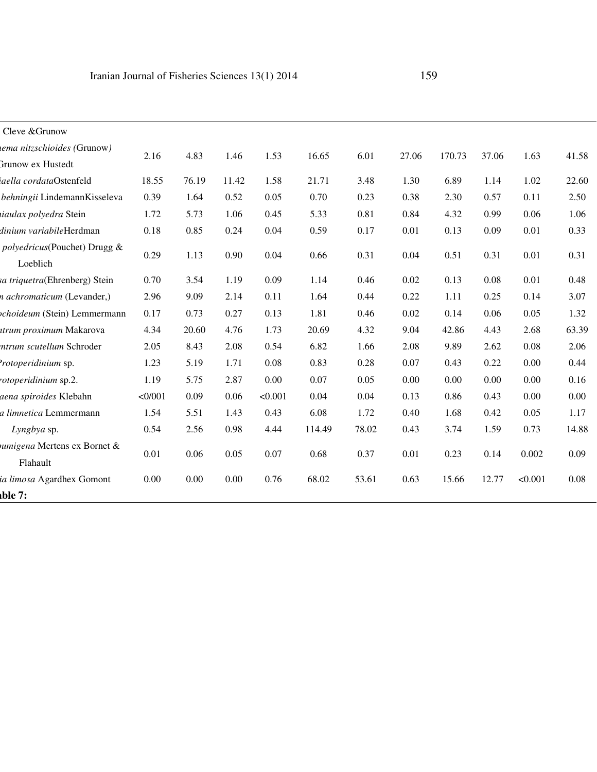| Cleve & Grunow                                   |        |       |       |         |        |       |       |        |       |         |       |
|--------------------------------------------------|--------|-------|-------|---------|--------|-------|-------|--------|-------|---------|-------|
| iema nitzschioides (Grunow)<br>Grunow ex Hustedt | 2.16   | 4.83  | 1.46  | 1.53    | 16.65  | 6.01  | 27.06 | 170.73 | 37.06 | 1.63    | 41.58 |
| iaella cordataOstenfeld                          | 18.55  | 76.19 | 11.42 | 1.58    | 21.71  | 3.48  | 1.30  | 6.89   | 1.14  | 1.02    | 22.60 |
| behningii LindemannKisseleva                     | 0.39   | 1.64  | 0.52  | 0.05    | 0.70   | 0.23  | 0.38  | 2.30   | 0.57  | 0.11    | 2.50  |
| iiaulax polyedra Stein                           | 1.72   | 5.73  | 1.06  | 0.45    | 5.33   | 0.81  | 0.84  | 4.32   | 0.99  | 0.06    | 1.06  |
| dinium variabileHerdman                          | 0.18   | 0.85  | 0.24  | 0.04    | 0.59   | 0.17  | 0.01  | 0.13   | 0.09  | 0.01    | 0.33  |
| polyedricus(Pouchet) Drugg &<br>Loeblich         | 0.29   | 1.13  | 0.90  | 0.04    | 0.66   | 0.31  | 0.04  | 0.51   | 0.31  | 0.01    | 0.31  |
| sa triquetra(Ehrenberg) Stein                    | 0.70   | 3.54  | 1.19  | 0.09    | 1.14   | 0.46  | 0.02  | 0.13   | 0.08  | 0.01    | 0.48  |
| n achromaticum (Levander,)                       | 2.96   | 9.09  | 2.14  | 0.11    | 1.64   | 0.44  | 0.22  | 1.11   | 0.25  | 0.14    | 3.07  |
| ochoideum (Stein) Lemmermann                     | 0.17   | 0.73  | 0.27  | 0.13    | 1.81   | 0.46  | 0.02  | 0.14   | 0.06  | 0.05    | 1.32  |
| ttrum proximum Makarova                          | 4.34   | 20.60 | 4.76  | 1.73    | 20.69  | 4.32  | 9.04  | 42.86  | 4.43  | 2.68    | 63.39 |
| ntrum scutellum Schroder                         | 2.05   | 8.43  | 2.08  | 0.54    | 6.82   | 1.66  | 2.08  | 9.89   | 2.62  | 0.08    | 2.06  |
| <i>rotoperidinium</i> sp.                        | 1.23   | 5.19  | 1.71  | 0.08    | 0.83   | 0.28  | 0.07  | 0.43   | 0.22  | 0.00    | 0.44  |
| rotoperidinium sp.2.                             | 1.19   | 5.75  | 2.87  | 0.00    | 0.07   | 0.05  | 0.00  | 0.00   | 0.00  | 0.00    | 0.16  |
| aena spiroides Klebahn                           | <0/001 | 0.09  | 0.06  | < 0.001 | 0.04   | 0.04  | 0.13  | 0.86   | 0.43  | 0.00    | 0.00  |
| a limnetica Lemmermann                           | 1.54   | 5.51  | 1.43  | 0.43    | 6.08   | 1.72  | 0.40  | 1.68   | 0.42  | 0.05    | 1.17  |
| Lyngbya sp.                                      | 0.54   | 2.56  | 0.98  | 4.44    | 114.49 | 78.02 | 0.43  | 3.74   | 1.59  | 0.73    | 14.88 |
| umigena Mertens ex Bornet &<br>Flahault          | 0.01   | 0.06  | 0.05  | 0.07    | 0.68   | 0.37  | 0.01  | 0.23   | 0.14  | 0.002   | 0.09  |
| ia limosa Agardhex Gomont                        | 0.00   | 0.00  | 0.00  | 0.76    | 68.02  | 53.61 | 0.63  | 15.66  | 12.77 | < 0.001 | 0.08  |
| ble 7:                                           |        |       |       |         |        |       |       |        |       |         |       |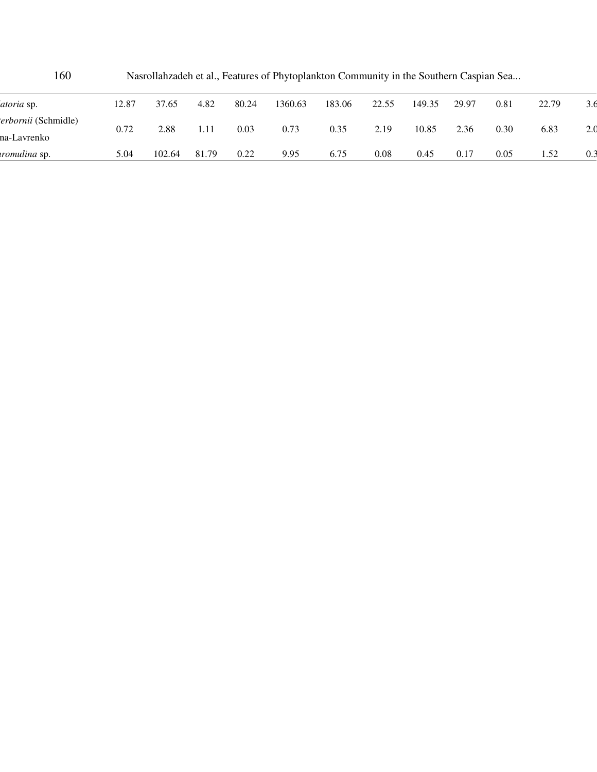| 160                                |       |        |       |       | Nasrollahzadeh et al., Features of Phytoplankton Community in the Southern Caspian Sea |        |       |        |       |      |       |     |
|------------------------------------|-------|--------|-------|-------|----------------------------------------------------------------------------------------|--------|-------|--------|-------|------|-------|-----|
| <i>atoria</i> sp.                  | 12.87 | 37.65  | 4.82  | 80.24 | 1360.63                                                                                | 183.06 | 22.55 | 149.35 | 29.97 | 0.81 | 22.79 | 3.6 |
| terbornii (Schmidle)               | 0.72  | 2.88   | 1.11  | 0.03  | 0.73                                                                                   | 0.35   | 2.19  | 10.85  | 2.36  | 0.30 | 6.83  | 2.0 |
| na-Lavrenko<br><i>romulina</i> sp. | 5.04  | 102.64 | 81.79 | 0.22  | 9.95                                                                                   | 6.75   | 0.08  | 0.45   | 0.17  | 0.05 | 1.52  | 0.3 |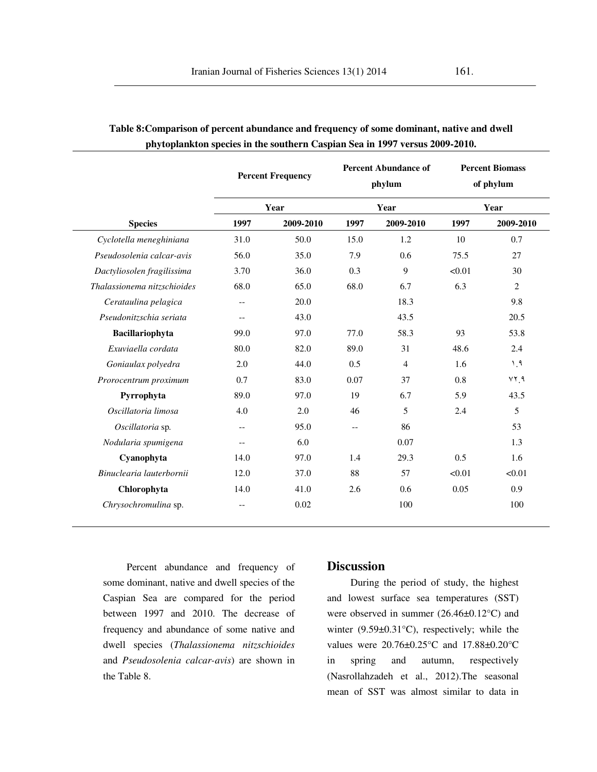|                             |                          | <b>Percent Frequency</b> |                          | <b>Percent Abundance of</b><br>phylum | <b>Percent Biomass</b><br>of phylum<br>Year |                |  |
|-----------------------------|--------------------------|--------------------------|--------------------------|---------------------------------------|---------------------------------------------|----------------|--|
|                             |                          | Year                     |                          | Year                                  |                                             |                |  |
| <b>Species</b>              | 1997                     | 2009-2010                | 1997                     | 2009-2010                             | 1997                                        | 2009-2010      |  |
| Cyclotella meneghiniana     | 31.0                     | 50.0                     | 15.0                     | 1.2                                   | 10                                          | 0.7            |  |
| Pseudosolenia calcar-avis   | 56.0                     | 35.0                     | 7.9                      | 0.6                                   | 75.5                                        | 27             |  |
| Dactyliosolen fragilissima  | 3.70                     | 36.0                     | 0.3                      | 9                                     | < 0.01                                      | 30             |  |
| Thalassionema nitzschioides | 68.0                     | 65.0                     | 68.0                     | 6.7                                   | 6.3                                         | $\overline{2}$ |  |
| Cerataulina pelagica        | $-$                      | 20.0                     |                          | 18.3                                  |                                             | 9.8            |  |
| Pseudonitzschia seriata     | $- -$                    | 43.0                     |                          | 43.5                                  |                                             | 20.5           |  |
| Bacillariophyta             | 99.0                     | 97.0                     | 77.0                     | 58.3                                  | 93                                          | 53.8           |  |
| Exuviaella cordata          | 80.0                     | 82.0                     | 89.0                     | 31                                    | 48.6                                        | 2.4            |  |
| Goniaulax polyedra          | 2.0                      | 44.0                     | 0.5                      | $\overline{4}$                        | 1.6                                         | 1.9            |  |
| Prorocentrum proximum       | 0.7                      | 83.0                     | 0.07                     | 37                                    | 0.8                                         | YY, 9          |  |
| Pyrrophyta                  | 89.0                     | 97.0                     | 19                       | 6.7                                   | 5.9                                         | 43.5           |  |
| Oscillatoria limosa         | 4.0                      | 2.0                      | 46                       | 5                                     | 2.4                                         | 5              |  |
| Oscillatoria sp.            | $-\,-$                   | 95.0                     | $\overline{\phantom{m}}$ | 86                                    |                                             | 53             |  |
| Nodularia spumigena         | $-$                      | 6.0                      |                          | 0.07                                  |                                             | 1.3            |  |
| Cyanophyta                  | 14.0                     | 97.0                     | 1.4                      | 29.3                                  | 0.5                                         | 1.6            |  |
| Binuclearia lauterbornii    | 12.0                     | 37.0                     | 88                       | 57                                    | < 0.01                                      | < 0.01         |  |
| Chlorophyta                 | 14.0                     | 41.0                     | 2.6                      | 0.6                                   | 0.05                                        | 0.9            |  |
| Chrysochromulina sp.        | $\overline{\phantom{a}}$ | 0.02                     |                          | 100                                   |                                             | 100            |  |

## **Table 8:Comparison of percent abundance and frequency of some dominant, native and dwell phytoplankton species in the southern Caspian Sea in 1997 versus 2009-2010.**

Percent abundance and frequency of some dominant, native and dwell species of the Caspian Sea are compared for the period between 1997 and 2010. The decrease of frequency and abundance of some native and dwell species (*Thalassionema nitzschioides* and *Pseudosolenia calcar-avis*) are shown in the Table 8.

### **Discussion**

 During the period of study, the highest and lowest surface sea temperatures (SST) were observed in summer (26.46±0.12°C) and winter (9.59±0.31°C), respectively; while the values were 20.76±0.25°C and 17.88±0.20°C in spring and autumn, respectively (Nasrollahzadeh et al., 2012).The seasonal mean of SST was almost similar to data in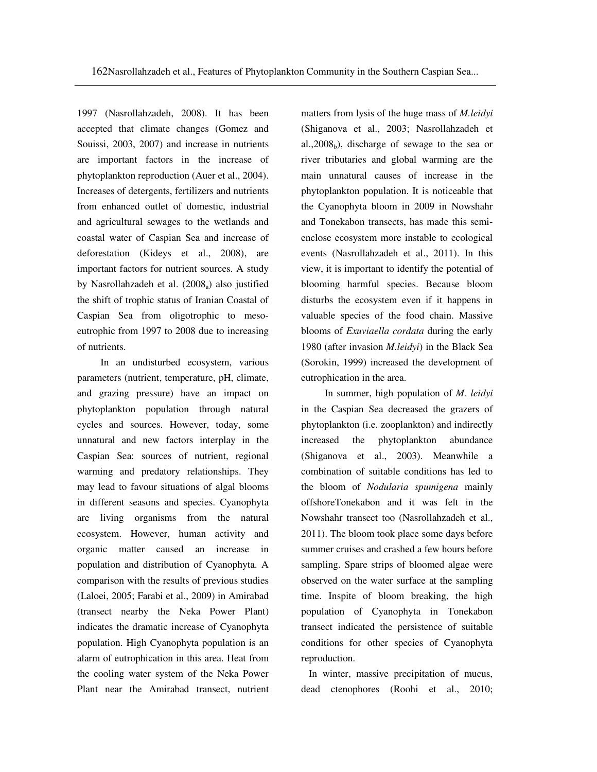1997 (Nasrollahzadeh, 2008). It has been accepted that climate changes (Gomez and Souissi, 2003, 2007) and increase in nutrients are important factors in the increase of phytoplankton reproduction (Auer et al., 2004). Increases of detergents, fertilizers and nutrients from enhanced outlet of domestic, industrial and agricultural sewages to the wetlands and coastal water of Caspian Sea and increase of deforestation (Kideys et al., 2008), are important factors for nutrient sources. A study by Nasrollahzadeh et al. (2008<sub>a</sub>) also justified the shift of trophic status of Iranian Coastal of Caspian Sea from oligotrophic to mesoeutrophic from 1997 to 2008 due to increasing of nutrients.

 In an undisturbed ecosystem, various parameters (nutrient, temperature, pH, climate, and grazing pressure) have an impact on phytoplankton population through natural cycles and sources. However, today, some unnatural and new factors interplay in the Caspian Sea: sources of nutrient, regional warming and predatory relationships. They may lead to favour situations of algal blooms in different seasons and species. Cyanophyta are living organisms from the natural ecosystem. However, human activity and organic matter caused an increase in population and distribution of Cyanophyta. A comparison with the results of previous studies (Laloei, 2005; Farabi et al., 2009) in Amirabad (transect nearby the Neka Power Plant) indicates the dramatic increase of Cyanophyta population. High Cyanophyta population is an alarm of eutrophication in this area. Heat from the cooling water system of the Neka Power Plant near the Amirabad transect, nutrient matters from lysis of the huge mass of *M.leidyi* (Shiganova et al., 2003; Nasrollahzadeh et al.,  $2008<sub>b</sub>$ ), discharge of sewage to the sea or river tributaries and global warming are the main unnatural causes of increase in the phytoplankton population. It is noticeable that the Cyanophyta bloom in 2009 in Nowshahr and Tonekabon transects, has made this semienclose ecosystem more instable to ecological events (Nasrollahzadeh et al., 2011). In this view, it is important to identify the potential of blooming harmful species. Because bloom disturbs the ecosystem even if it happens in valuable species of the food chain. Massive blooms of *Exuviaella cordata* during the early 1980 (after invasion *M.leidyi*) in the Black Sea (Sorokin, 1999) increased the development of eutrophication in the area.

 In summer, high population of *M. leidyi*  in the Caspian Sea decreased the grazers of phytoplankton (i.e. zooplankton) and indirectly increased the phytoplankton abundance (Shiganova et al., 2003). Meanwhile a combination of suitable conditions has led to the bloom of *Nodularia spumigena* mainly offshoreTonekabon and it was felt in the Nowshahr transect too (Nasrollahzadeh et al., 2011). The bloom took place some days before summer cruises and crashed a few hours before sampling. Spare strips of bloomed algae were observed on the water surface at the sampling time. Inspite of bloom breaking, the high population of Cyanophyta in Tonekabon transect indicated the persistence of suitable conditions for other species of Cyanophyta reproduction.

 In winter, massive precipitation of mucus, dead ctenophores (Roohi et al., 2010;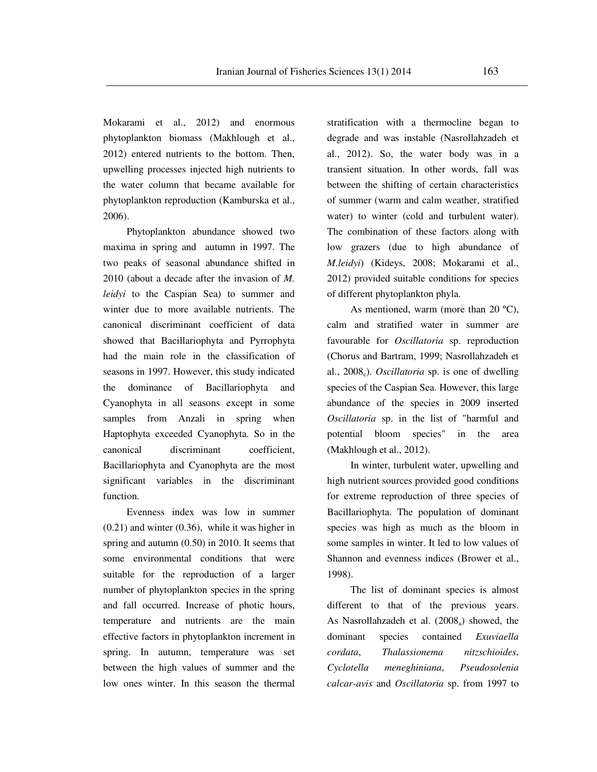Mokarami et al., 2012) and enormous phytoplankton biomass (Makhlough et al., 2012) entered nutrients to the bottom. Then, upwelling processes injected high nutrients to the water column that became available for phytoplankton reproduction (Kamburska et al., 2006).

 Phytoplankton abundance showed two maxima in spring and autumn in 1997. The two peaks of seasonal abundance shifted in 2010 (about a decade after the invasion of *M. leidyi* to the Caspian Sea) to summer and winter due to more available nutrients. The canonical discriminant coefficient of data showed that Bacillariophyta and Pyrrophyta had the main role in the classification of seasons in 1997. However, this study indicated the dominance of Bacillariophyta and Cyanophyta in all seasons except in some samples from Anzali in spring when Haptophyta exceeded Cyanophyta. So in the canonical discriminant coefficient, Bacillariophyta and Cyanophyta are the most significant variables in the discriminant function.

 Evenness index was low in summer (0.21) and winter (0.36), while it was higher in spring and autumn (0.50) in 2010. It seems that some environmental conditions that were suitable for the reproduction of a larger number of phytoplankton species in the spring and fall occurred. Increase of photic hours, temperature and nutrients are the main effective factors in phytoplankton increment in spring. In autumn, temperature was set between the high values of summer and the low ones winter. In this season the thermal

stratification with a thermocline began to degrade and was instable (Nasrollahzadeh et al., 2012). So, the water body was in a transient situation. In other words, fall was between the shifting of certain characteristics of summer (warm and calm weather, stratified water) to winter (cold and turbulent water). The combination of these factors along with low grazers (due to high abundance of *M.leidyi*) (Kideys, 2008; Mokarami et al., 2012) provided suitable conditions for species of different phytoplankton phyla.

 As mentioned, warm (more than 20 ºC), calm and stratified water in summer are favourable for *Oscillatoria* sp. reproduction (Chorus and Bartram, 1999; Nasrollahzadeh et al., 2008c). *Oscillatoria* sp. is one of dwelling species of the Caspian Sea. However, this large abundance of the species in 2009 inserted *Oscillatoria* sp. in the list of "harmful and potential bloom species" in the area (Makhlough et al., 2012).

 In winter, turbulent water, upwelling and high nutrient sources provided good conditions for extreme reproduction of three species of Bacillariophyta. The population of dominant species was high as much as the bloom in some samples in winter. It led to low values of Shannon and evenness indices (Brower et al., 1998).

 The list of dominant species is almost different to that of the previous years. As Nasrollahzadeh et al.  $(2008_a)$  showed, the dominant species contained *Exuviaella cordata*, *Thalassionema nitzschioides*, *Cyclotella meneghiniana*, *Pseudosolenia calcar-avis* and *Oscillatoria* sp. from 1997 to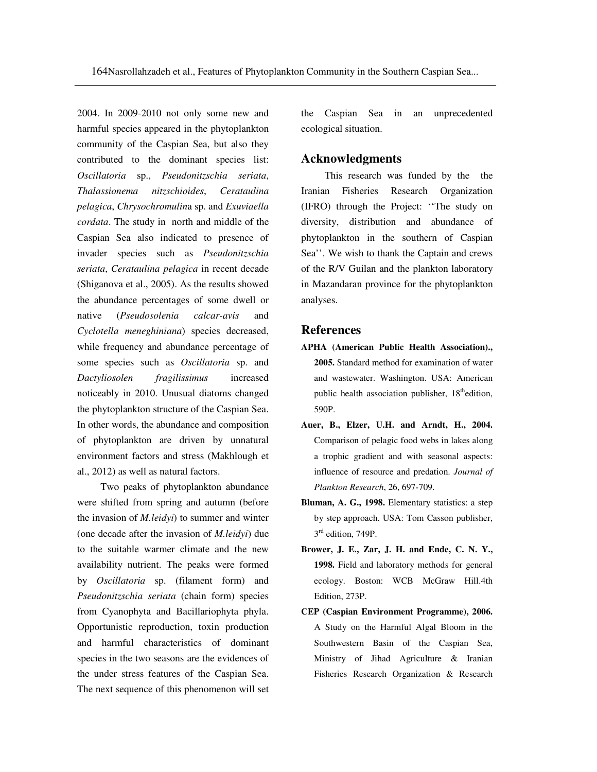2004. In 2009-2010 not only some new and harmful species appeared in the phytoplankton community of the Caspian Sea, but also they contributed to the dominant species list: *Oscillatoria* sp., *Pseudonitzschia seriata*, *Thalassionema nitzschioides*, *Cerataulina pelagica*, *Chrysochromulin*a sp. and *Exuviaella cordata*. The study in north and middle of the Caspian Sea also indicated to presence of invader species such as *Pseudonitzschia seriata*, *Cerataulina pelagica* in recent decade (Shiganova et al., 2005). As the results showed the abundance percentages of some dwell or native (*Pseudosolenia calcar-avis* and *Cyclotella meneghiniana*) species decreased, while frequency and abundance percentage of some species such as *Oscillatoria* sp. and *Dactyliosolen fragilissimus* increased noticeably in 2010. Unusual diatoms changed the phytoplankton structure of the Caspian Sea. In other words, the abundance and composition of phytoplankton are driven by unnatural environment factors and stress (Makhlough et al., 2012) as well as natural factors.

Two peaks of phytoplankton abundance were shifted from spring and autumn (before the invasion of *M.leidyi*) to summer and winter (one decade after the invasion of *M.leidyi*) due to the suitable warmer climate and the new availability nutrient. The peaks were formed by *Oscillatoria* sp. (filament form) and *Pseudonitzschia seriata* (chain form) species from Cyanophyta and Bacillariophyta phyla. Opportunistic reproduction, toxin production and harmful characteristics of dominant species in the two seasons are the evidences of the under stress features of the Caspian Sea. The next sequence of this phenomenon will set

the Caspian Sea in an unprecedented ecological situation.

#### **Acknowledgments**

This research was funded by the the Iranian Fisheries Research Organization (IFRO) through the Project: ''The study on diversity, distribution and abundance of phytoplankton in the southern of Caspian Sea''. We wish to thank the Captain and crews of the R/V Guilan and the plankton laboratory in Mazandaran province for the phytoplankton analyses.

### **References**

- **APHA (American Public Health Association)., 2005.** Standard method for examination of water and wastewater. Washington. USA: American public health association publisher,  $18<sup>th</sup>$ edition, 590P.
- **Auer, B., Elzer, U.H. and Arndt, H., 2004.** Comparison of pelagic food webs in lakes along a trophic gradient and with seasonal aspects: influence of resource and predation. *Journal of Plankton Research*, 26, 697-709.
- **Bluman, A. G., 1998.** Elementary statistics: a step by step approach. USA: Tom Casson publisher, 3<sup>rd</sup> edition, 749P.
- **Brower, J. E., Zar, J. H. and Ende, C. N. Y., 1998.** Field and laboratory methods for general ecology. Boston: WCB McGraw Hill.4th Edition, 273P.
- **CEP (Caspian Environment Programme), 2006.** A Study on the Harmful Algal Bloom in the Southwestern Basin of the Caspian Sea, Ministry of Jihad Agriculture & Iranian Fisheries Research Organization & Research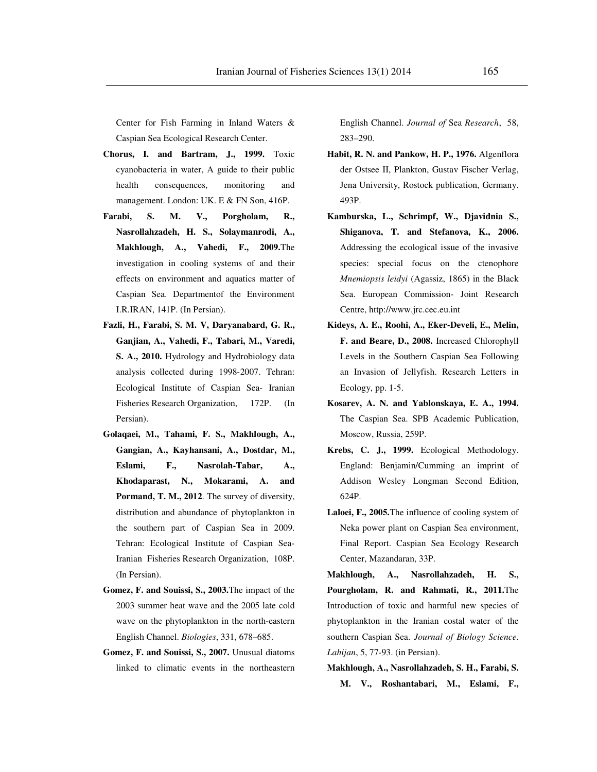Center for Fish Farming in Inland Waters & Caspian Sea Ecological Research Center.

- **Chorus, I. and Bartram, J., 1999.** Toxic cyanobacteria in water, A guide to their public health consequences, monitoring and management. London: UK. E & FN Son, 416P.
- **Farabi, S. M. V., Porgholam, R., Nasrollahzadeh, H. S., Solaymanrodi, A., Makhlough, A., Vahedi, F., 2009.**The investigation in cooling systems of and their effects on environment and aquatics matter of Caspian Sea. Departmentof the Environment I.R.IRAN, 141P. (In Persian).
- **Fazli, H., Farabi, S. M. V, Daryanabard, G. R., Ganjian, A., Vahedi, F., Tabari, M., Varedi, S. A., 2010.** Hydrology and Hydrobiology data analysis collected during 1998-2007. Tehran: Ecological Institute of Caspian Sea- Iranian Fisheries Research Organization, 172P. (In Persian).
- **Golaqaei, M., Tahami, F. S., Makhlough, A., Gangian, A., Kayhansani, A., Dostdar, M., Eslami, F., Nasrolah-Tabar, A., Khodaparast, N., Mokarami, A. and Pormand, T. M., 2012**. The survey of diversity, distribution and abundance of phytoplankton in the southern part of Caspian Sea in 2009. Tehran: Ecological Institute of Caspian Sea-Iranian Fisheries Research Organization, 108P. (In Persian).
- **Gomez, F. and Souissi, S., 2003.**The impact of the 2003 summer heat wave and the 2005 late cold wave on the phytoplankton in the north-eastern English Channel. *Biologies*, 331, 678–685.
- **Gomez, F. and Souissi, S., 2007.** Unusual diatoms linked to climatic events in the northeastern

English Channel. *Journal of* Sea *Research*, 58, 283–290.

- **Habit, R. N. and Pankow, H. P., 1976.** Algenflora der Ostsee II, Plankton, Gustav Fischer Verlag, Jena University, Rostock publication, Germany. 493P.
- **Kamburska, L., Schrimpf, W., Djavidnia S., Shiganova, T. and Stefanova, K., 2006.**  Addressing the ecological issue of the invasive species: special focus on the ctenophore *Mnemiopsis leidyi* (Agassiz, 1865) in the Black Sea. European Commission- Joint Research Centre, http://www.jrc.cec.eu.int
- **Kideys, A. E., Roohi, A., Eker-Develi, E., Melin, F. and Beare, D., 2008.** Increased Chlorophyll Levels in the Southern Caspian Sea Following an Invasion of Jellyfish. Research Letters in Ecology, pp. 1-5.
- **Kosarev, A. N. and Yablonskaya, E. A., 1994.**  The Caspian Sea. SPB Academic Publication, Moscow, Russia, 259P.
- **Krebs, C. J., 1999.** Ecological Methodology. England: Benjamin/Cumming an imprint of Addison Wesley Longman Second Edition, 624P.
- **Laloei, F., 2005.**The influence of cooling system of Neka power plant on Caspian Sea environment, Final Report. Caspian Sea Ecology Research Center, Mazandaran, 33P.

**Makhlough, A., Nasrollahzadeh, H. S., Pourgholam, R. and Rahmati, R., 2011.**The Introduction of toxic and harmful new species of phytoplankton in the Iranian costal water of the southern Caspian Sea. *Journal of Biology Science. Lahijan*, 5, 77-93. (in Persian).

**Makhlough, A., Nasrollahzadeh, S. H., Farabi, S. M. V., Roshantabari, M., Eslami, F.,**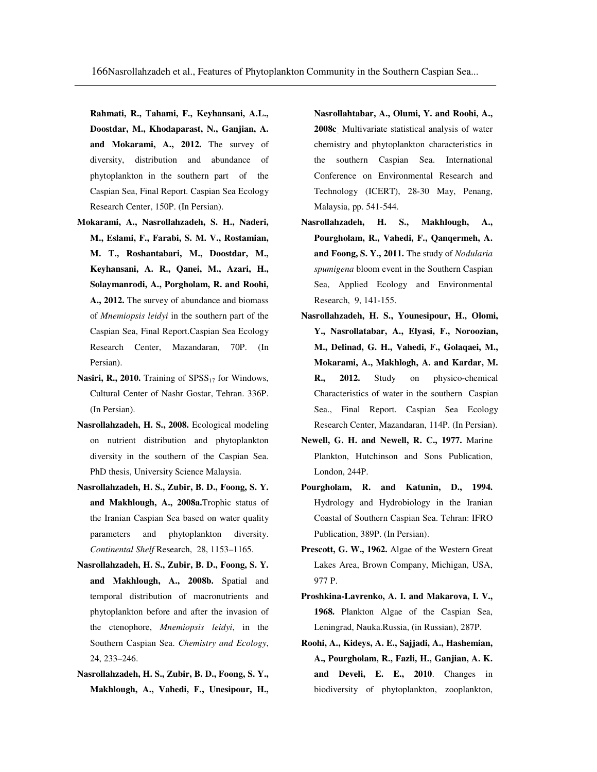**Rahmati, R., Tahami, F., Keyhansani, A.L., Doostdar, M., Khodaparast, N., Ganjian, A. and Mokarami, A., 2012.** The survey of diversity, distribution and abundance of phytoplankton in the southern part of the Caspian Sea, Final Report. Caspian Sea Ecology Research Center, 150P. (In Persian).

- **Mokarami, A., Nasrollahzadeh, S. H., Naderi, M., Eslami, F., Farabi, S. M. V., Rostamian, M. T., Roshantabari, M., Doostdar, M., Keyhansani, A. R., Qanei, M., Azari, H., Solaymanrodi, A., Porgholam, R. and Roohi, A., 2012.** The survey of abundance and biomass of *Mnemiopsis leidyi* in the southern part of the Caspian Sea, Final Report.Caspian Sea Ecology Research Center, Mazandaran, 70P. (In Persian).
- Nasiri, R., 2010. Training of SPSS<sub>17</sub> for Windows, Cultural Center of Nashr Gostar, Tehran. 336P. (In Persian).
- **Nasrollahzadeh, H. S., 2008.** Ecological modeling on nutrient distribution and phytoplankton diversity in the southern of the Caspian Sea. PhD thesis, University Science Malaysia.
- **Nasrollahzadeh, H. S., Zubir, B. D., Foong, S. Y. and Makhlough, A., 2008a.**Trophic status of the Iranian Caspian Sea based on water quality parameters and phytoplankton diversity. *Continental Shelf* Research, 28, 1153–1165.
- **Nasrollahzadeh, H. S., Zubir, B. D., Foong, S. Y. and Makhlough, A., 2008b.** Spatial and temporal distribution of macronutrients and phytoplankton before and after the invasion of the ctenophore, *Mnemiopsis leidyi*, in the Southern Caspian Sea. *Chemistry and Ecology*, 24, 233–246.
- **Nasrollahzadeh, H. S., Zubir, B. D., Foong, S. Y., Makhlough, A., Vahedi, F., Unesipour, H.,**

**Nasrollahtabar, A., Olumi, Y. and Roohi, A., 2008c**.. Multivariate statistical analysis of water chemistry and phytoplankton characteristics in the southern Caspian Sea. International Conference on Environmental Research and Technology (ICERT), 28-30 May, Penang, Malaysia, pp. 541-544.

- **Nasrollahzadeh, H. S., Makhlough, A., Pourgholam, R., Vahedi, F., Qanqermeh, A. and Foong, S. Y., 2011.** The study of *Nodularia spumigena* bloom event in the Southern Caspian Sea, Applied Ecology and Environmental Research, 9, 141-155.
- **Nasrollahzadeh, H. S., Younesipour, H., Olomi, Y., Nasrollatabar, A., Elyasi, F., Noroozian, M., Delinad, G. H., Vahedi, F., Golaqaei, M., Mokarami, A., Makhlogh, A. and Kardar, M. R., 2012.** Study on physico-chemical Characteristics of water in the southern Caspian Sea., Final Report. Caspian Sea Ecology Research Center, Mazandaran, 114P. (In Persian).
- **Newell, G. H. and Newell, R. C., 1977.** Marine Plankton, Hutchinson and Sons Publication, London, 244P.
- **Pourgholam, R. and Katunin, D., 1994.**  Hydrology and Hydrobiology in the Iranian Coastal of Southern Caspian Sea. Tehran: IFRO Publication, 389P. (In Persian).
- **Prescott, G. W., 1962.** Algae of the Western Great Lakes Area, Brown Company, Michigan, USA, 977 P.
- **Proshkina-Lavrenko, A. I. and Makarova, I. V., 1968.** Plankton Algae of the Caspian Sea, Leningrad, Nauka.Russia, (in Russian), 287P.
- **Roohi, A., Kideys, A. E., Sajjadi, A., Hashemian, A., Pourgholam, R., Fazli, H., Ganjian, A. K. and Develi, E. E., 2010**. Changes in biodiversity of phytoplankton, zooplankton,